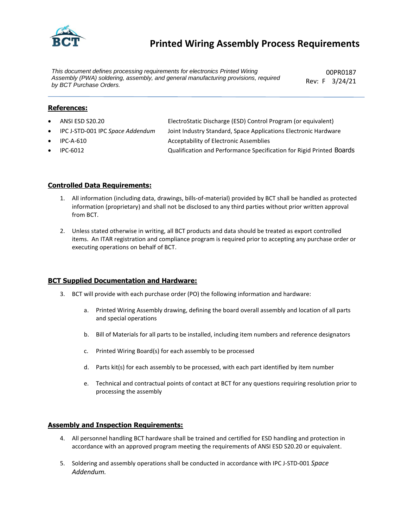

## **Printed Wiring Assembly Process Requirements**

*This document defines processing requirements for electronics Printed Wiring Assembly (PWA) soldering, assembly, and general manufacturing provisions, required by BCT Purchase Orders.*

00PR0187 Rev: F 3/24/21

#### **References:**

- ANSI ESD S20.20 ElectroStatic Discharge (ESD) Control Program (or equivalent)
- IPC J-STD-001 IPC *Space Addendum* Joint Industry Standard, Space Applications Electronic Hardware
- IPC-A-610 Acceptability of Electronic Assemblies
- IPC-6012 Qualification and Performance Specification for Rigid Printed Boards

#### **Controlled Data Requirements:**

- 1. All information (including data, drawings, bills-of-material) provided by BCT shall be handled as protected information (proprietary) and shall not be disclosed to any third parties without prior written approval from BCT.
- 2. Unless stated otherwise in writing, all BCT products and data should be treated as export controlled items. An ITAR registration and compliance program is required prior to accepting any purchase order or executing operations on behalf of BCT.

#### **BCT Supplied Documentation and Hardware:**

- 3. BCT will provide with each purchase order (PO) the following information and hardware:
	- a. Printed Wiring Assembly drawing, defining the board overall assembly and location of all parts and special operations
	- b. Bill of Materials for all parts to be installed, including item numbers and reference designators
	- c. Printed Wiring Board(s) for each assembly to be processed
	- d. Parts kit(s) for each assembly to be processed, with each part identified by item number
	- e. Technical and contractual points of contact at BCT for any questions requiring resolution prior to processing the assembly

#### **Assembly and Inspection Requirements:**

- 4. All personnel handling BCT hardware shall be trained and certified for ESD handling and protection in accordance with an approved program meeting the requirements of ANSI ESD S20.20 or equivalent.
- 5. Soldering and assembly operations shall be conducted in accordance with IPC J-STD-001 *Space Addendum.*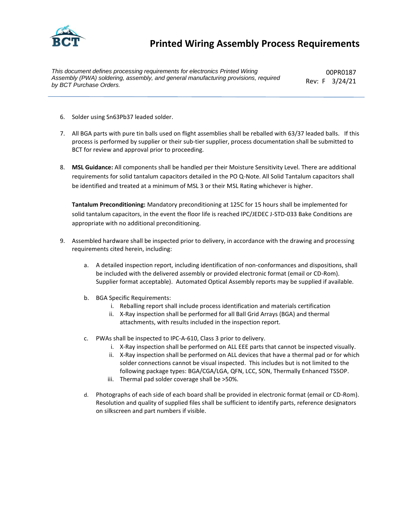

## **Printed Wiring Assembly Process Requirements**

*This document defines processing requirements for electronics Printed Wiring Assembly (PWA) soldering, assembly, and general manufacturing provisions, required by BCT Purchase Orders.*

00PR0187 Rev: F 3/24/21

- 6. Solder using Sn63Pb37 leaded solder.
- 7. All BGA parts with pure tin balls used on flight assemblies shall be reballed with 63/37 leaded balls. If this process is performed by supplier or their sub-tier supplier, process documentation shall be submitted to BCT for review and approval prior to proceeding.
- 8. **MSL Guidance:** All components shall be handled per their Moisture Sensitivity Level. There are additional requirements for solid tantalum capacitors detailed in the PO Q-Note. All Solid Tantalum capacitors shall be identified and treated at a minimum of MSL 3 or their MSL Rating whichever is higher.

**Tantalum Preconditioning:** Mandatory preconditioning at 125C for 15 hours shall be implemented for solid tantalum capacitors, in the event the floor life is reached IPC/JEDEC J-STD-033 Bake Conditions are appropriate with no additional preconditioning.

- 9. Assembled hardware shall be inspected prior to delivery, in accordance with the drawing and processing requirements cited herein, including:
	- a. A detailed inspection report, including identification of non-conformances and dispositions, shall be included with the delivered assembly or provided electronic format (email or CD-Rom). Supplier format acceptable). Automated Optical Assembly reports may be supplied if available.
	- b. BGA Specific Requirements:
		- i. Reballing report shall include process identification and materials certification
		- ii. X-Ray inspection shall be performed for all Ball Grid Arrays (BGA) and thermal attachments, with results included in the inspection report.
	- c. PWAs shall be inspected to IPC-A-610, Class 3 prior to delivery.
		- i. X-Ray inspection shall be performed on ALL EEE parts that cannot be inspected visually.
		- ii. X-Ray inspection shall be performed on ALL devices that have a thermal pad or for which solder connections cannot be visual inspected. This includes but is not limited to the following package types: BGA/CGA/LGA, QFN, LCC, SON, Thermally Enhanced TSSOP.
		- iii. Thermal pad solder coverage shall be >50%.
	- d. Photographs of each side of each board shall be provided in electronic format (email or CD-Rom). Resolution and quality of supplied files shall be sufficient to identify parts, reference designators on silkscreen and part numbers if visible.